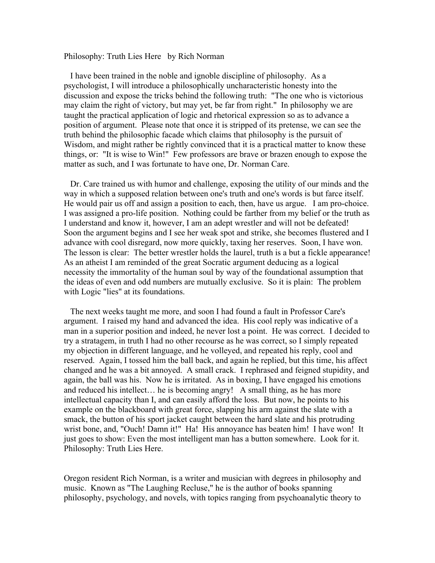Philosophy: Truth Lies Here by Rich Norman

 I have been trained in the noble and ignoble discipline of philosophy. As a psychologist, I will introduce a philosophically uncharacteristic honesty into the discussion and expose the tricks behind the following truth: "The one who is victorious may claim the right of victory, but may yet, be far from right." In philosophy we are taught the practical application of logic and rhetorical expression so as to advance a position of argument. Please note that once it is stripped of its pretense, we can see the truth behind the philosophic facade which claims that philosophy is the pursuit of Wisdom, and might rather be rightly convinced that it is a practical matter to know these things, or: "It is wise to Win!" Few professors are brave or brazen enough to expose the matter as such, and I was fortunate to have one, Dr. Norman Care.

 Dr. Care trained us with humor and challenge, exposing the utility of our minds and the way in which a supposed relation between one's truth and one's words is but farce itself. He would pair us off and assign a position to each, then, have us argue. I am pro-choice. I was assigned a pro-life position. Nothing could be farther from my belief or the truth as I understand and know it, however, I am an adept wrestler and will not be defeated! Soon the argument begins and I see her weak spot and strike, she becomes flustered and I advance with cool disregard, now more quickly, taxing her reserves. Soon, I have won. The lesson is clear: The better wrestler holds the laurel, truth is a but a fickle appearance! As an atheist I am reminded of the great Socratic argument deducing as a logical necessity the immortality of the human soul by way of the foundational assumption that the ideas of even and odd numbers are mutually exclusive. So it is plain: The problem with Logic "lies" at its foundations.

 The next weeks taught me more, and soon I had found a fault in Professor Care's argument. I raised my hand and advanced the idea. His cool reply was indicative of a man in a superior position and indeed, he never lost a point. He was correct. I decided to try a stratagem, in truth I had no other recourse as he was correct, so I simply repeated my objection in different language, and he volleyed, and repeated his reply, cool and reserved. Again, I tossed him the ball back, and again he replied, but this time, his affect changed and he was a bit annoyed. A small crack. I rephrased and feigned stupidity, and again, the ball was his. Now he is irritated. As in boxing, I have engaged his emotions and reduced his intellect… he is becoming angry! A small thing, as he has more intellectual capacity than I, and can easily afford the loss. But now, he points to his example on the blackboard with great force, slapping his arm against the slate with a smack, the button of his sport jacket caught between the hard slate and his protruding wrist bone, and, "Ouch! Damn it!" Ha! His annoyance has beaten him! I have won! It just goes to show: Even the most intelligent man has a button somewhere. Look for it. Philosophy: Truth Lies Here.

Oregon resident Rich Norman, is a writer and musician with degrees in philosophy and music. Known as "The Laughing Recluse," he is the author of books spanning philosophy, psychology, and novels, with topics ranging from psychoanalytic theory to